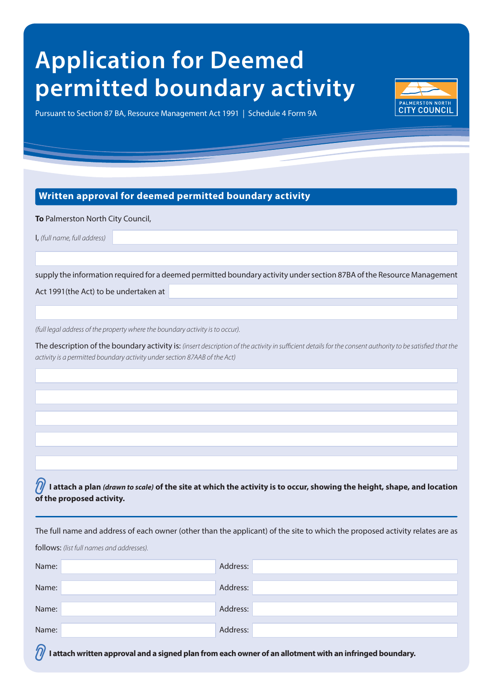## **Application for Deemed permitted boundary activity**

Pursuant to Section 87 BA, Resource Management Act 1991 | Schedule 4 Form 9A

## **Written approval for deemed permitted boundary activity**

## **To** Palmerston North City Council,

I, *(full name, full address)*

supply the information required for a deemed permitted boundary activity under section 87BA of the Resource Management Act 1991(the Act) to be undertaken at

CITY COUNCI

*(full legal address of the property where the boundary activity is to occur).*

The description of the boundary activity is: *(insert description of the activity in sufficient details for the consent authority to be satisfied that the activity is a permitted boundary activity under section 87AAB of the Act)*

 **I attach a plan** *(drawn to scale)* **of the site at which the activity is to occur, showing the height, shape, and location of the proposed activity.** 

The full name and address of each owner (other than the applicant) of the site to which the proposed activity relates are as

follows: *(list full names and addresses).*

| Name: | Address: |
|-------|----------|
| Name: | Address: |
| Name: | Address: |
| Name: | Address: |

 **I attach written approval and a signed plan from each owner of an allotment with an infringed boundary.**